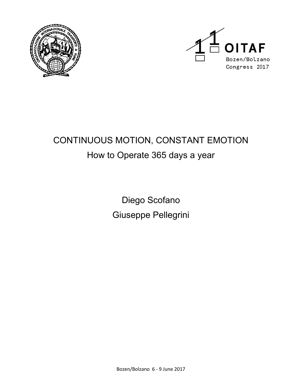



# CONTINUOUS MOTION, CONSTANT EMOTION How to Operate 365 days a year

Diego Scofano Giuseppe Pellegrini

Bozen/Bolzano 6 - 9 June 2017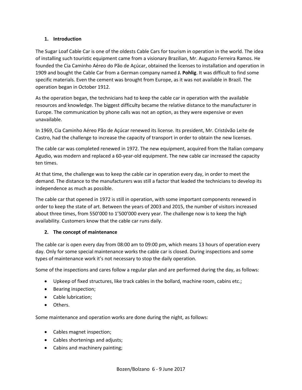## **1. Introduction**

The Sugar Loaf Cable Car is one of the oldests Cable Cars for tourism in operation in the world. The idea of installing such touristic equipment came from a visionary Brazilian, Mr. Augusto Ferreira Ramos. He founded the Cia Caminho Aéreo do Pão de Açúcar, obtained the licenses to installation and operation in 1909 and bought the Cable Car from a German company named **J. Pohlig**. It was difficult to find some specific materials. Even the cement was brought from Europe, as it was not available in Brazil. The operation began in October 1912.

As the operation began, the technicians had to keep the cable car in operation with the available resources and knowledge. The biggest difficulty became the relative distance to the manufacturer in Europe. The communication by phone calls was not an option, as they were expensive or even unavailable.

In 1969, Cia Caminho Aéreo Pão de Açúcar renewed its license. Its president, Mr. Cristóvão Leite de Castro, had the challenge to increase the capacity of transport in order to obtain the new licenses.

The cable car was completed renewed in 1972. The new equipment, acquired from the Italian company Agudio, was modern and replaced a 60-year-old equipment. The new cable car increased the capacity ten times.

At that time, the challenge was to keep the cable car in operation every day, in order to meet the demand. The distance to the manufacturers was still a factor that leaded the technicians to develop its independence as much as possible.

The cable car that opened in 1972 is still in operation, with some important components renewed in order to keep the state of art. Between the years of 2003 and 2015, the number of visitors increased about three times, from 550'000 to 1'500'000 every year. The challenge now is to keep the high availability. Customers know that the cable car runs daily.

## **2. The concept of maintenance**

The cable car is open every day from 08:00 am to 09:00 pm, which means 13 hours of operation every day. Only for some special maintenance works the cable car is closed. During inspections and some types of maintenance work it's not necessary to stop the daily operation.

Some of the inspections and cares follow a regular plan and are performed during the day, as follows:

- Upkeep of fixed structures, like track cables in the bollard, machine room, cabins etc.;
- Bearing inspection;
- Cable lubrication;
- Others.

Some maintenance and operation works are done during the night, as follows:

- Cables magnet inspection;
- Cables shortenings and adjusts;
- Cabins and machinery painting;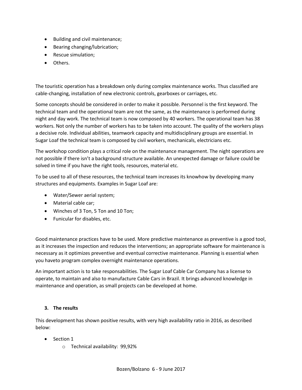- Building and civil maintenance;
- Bearing changing/lubrication;
- Rescue simulation;
- Others.

The touristic operation has a breakdown only during complex maintenance works. Thus classified are cable-changing, installation of new electronic controls, gearboxes or carriages, etc.

Some concepts should be considered in order to make it possible. Personnel is the first keyword. The technical team and the operational team are not the same, as the maintenance is performed during night and day work. The technical team is now composed by 40 workers. The operational team has 38 workers. Not only the number of workers has to be taken into account. The quality of the workers plays a decisive role. Individual abilities, teamwork capacity and multidisciplinary groups are essential. In Sugar Loaf the technical team is composed by civil workers, mechanicals, electricians etc.

The workshop condition plays a critical role on the maintenance management. The night operations are not possible if there isn't a background structure available. An unexpected damage or failure could be solved in time if you have the right tools, resources, material etc.

To be used to all of these resources, the technical team increases its knowhow by developing many structures and equipments. Examples in Sugar Loaf are:

- Water/Sewer aerial system;
- Material cable car;
- Winches of 3 Ton, 5 Ton and 10 Ton;
- Funicular for disables, etc.

Good maintenance practices have to be used. More predictive maintenance as preventive is a good tool, as it increases the inspection and reduces the interventions; an appropriate software for maintenance is necessary as it optimizes preventive and eventual corrective maintenance. Planning is essential when you haveto program complex overnight maintenance operations.

An important action is to take responsabilities. The Sugar Loaf Cable Car Company has a license to operate, to maintain and also to manufacture Cable Cars in Brazil. It brings advanced knowledge in maintenance and operation, as small projects can be developed at home.

#### **3. The results**

This development has shown positive results, with very high availability ratio in 2016, as described below:

- Section 1
	- o Technical availability: 99,92%